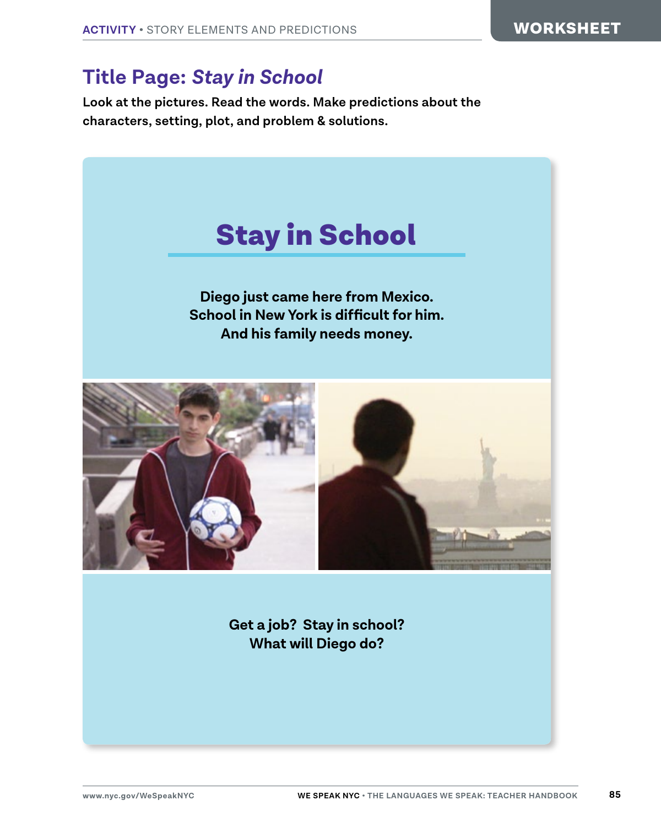### **Title Page:** *Stay in School*

**Look at the pictures. Read the words. Make predictions about the characters, setting, plot, and problem & solutions.**

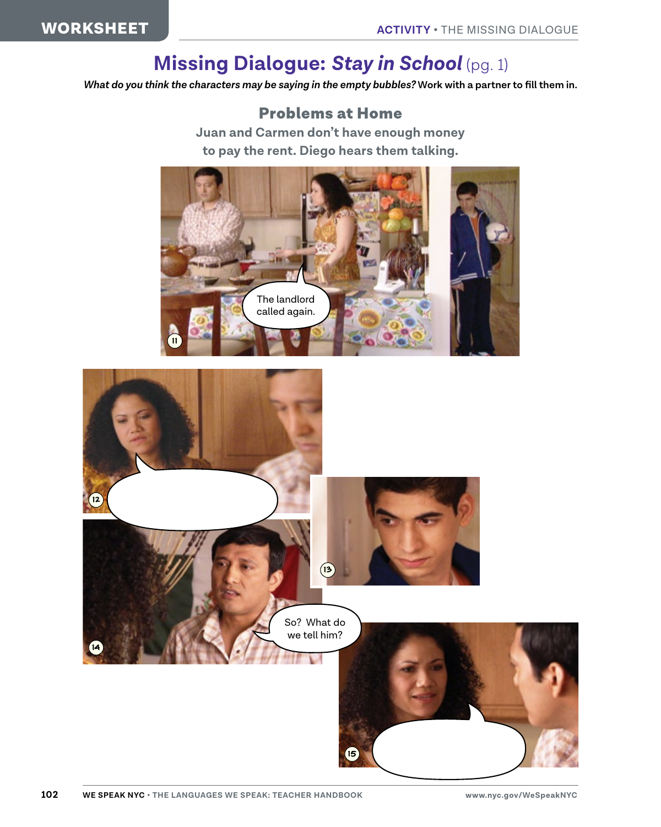# **Missing Dialogue:** *Stay in School* (pg. 1)

*What do you think the characters may be saying in the empty bubbles?* **Work with a partner to fill them in.**

#### Problems at Home

**Juan and Carmen don't have enough money to pay the rent. Diego hears them talking.**



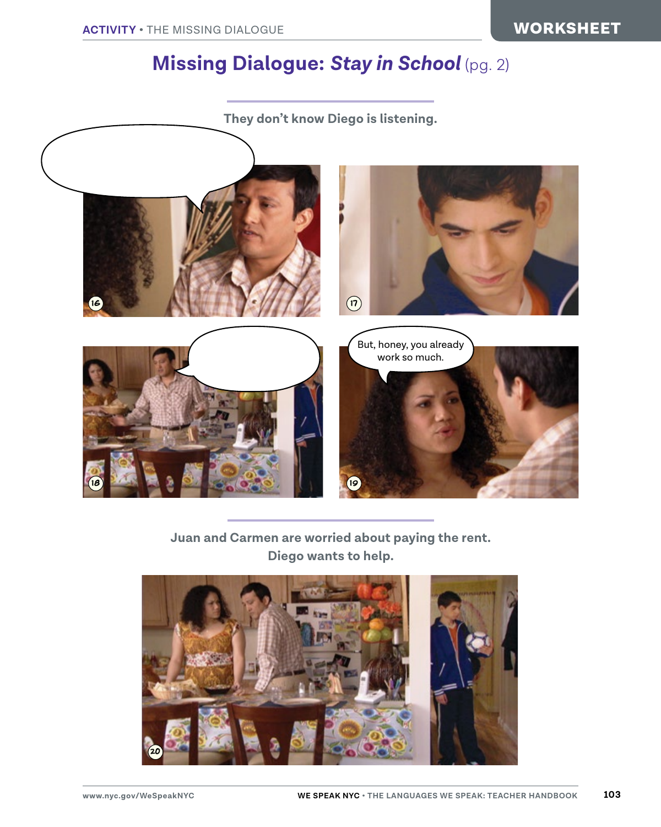## **Missing Dialogue:** *Stay in School* (pg. 2)



#### **Juan and Carmen are worried about paying the rent. Diego wants to help.**